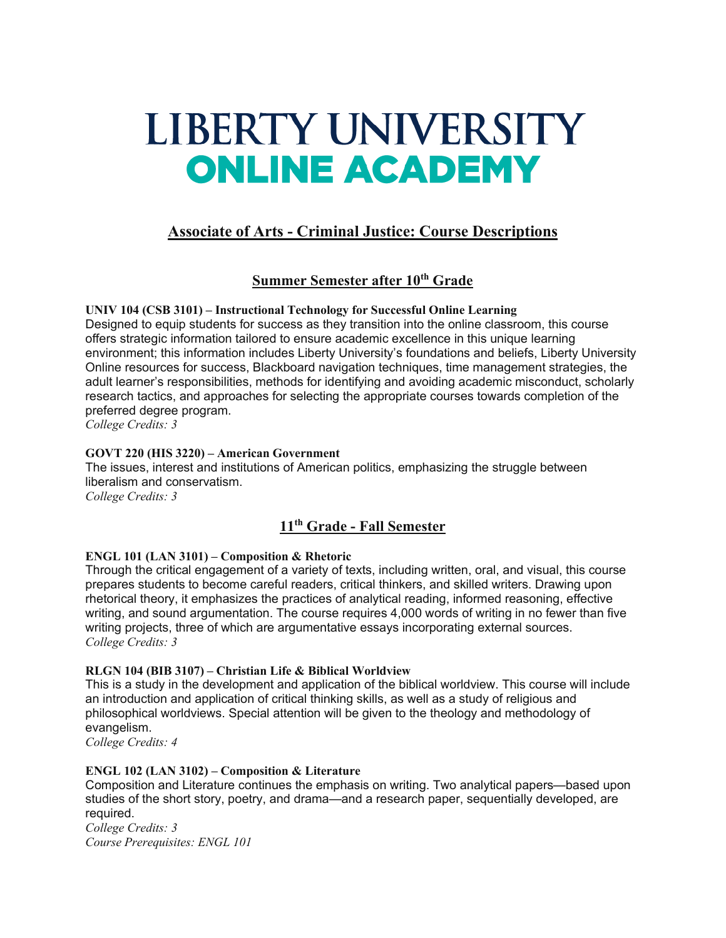# LIBERTY UNIVERSITY **ONLINE ACADEMY**

# **Associate of Arts - Criminal Justice: Course Descriptions**

# **Summer Semester after 10th Grade**

**UNIV 104 (CSB 3101) – Instructional Technology for Successful Online Learning** Designed to equip students for success as they transition into the online classroom, this course offers strategic information tailored to ensure academic excellence in this unique learning environment; this information includes Liberty University's foundations and beliefs, Liberty University Online resources for success, Blackboard navigation techniques, time management strategies, the adult learner's responsibilities, methods for identifying and avoiding academic misconduct, scholarly research tactics, and approaches for selecting the appropriate courses towards completion of the preferred degree program.

*College Credits: 3*

# **GOVT 220 (HIS 3220) – American Government**

The issues, interest and institutions of American politics, emphasizing the struggle between liberalism and conservatism. *College Credits: 3*

# **11th Grade - Fall Semester**

# **ENGL 101 (LAN 3101) – Composition & Rhetoric**

Through the critical engagement of a variety of texts, including written, oral, and visual, this course prepares students to become careful readers, critical thinkers, and skilled writers. Drawing upon rhetorical theory, it emphasizes the practices of analytical reading, informed reasoning, effective writing, and sound argumentation. The course requires 4,000 words of writing in no fewer than five writing projects, three of which are argumentative essays incorporating external sources. *College Credits: 3*

# **RLGN 104 (BIB 3107) – Christian Life & Biblical Worldview**

This is a study in the development and application of the biblical worldview. This course will include an introduction and application of critical thinking skills, as well as a study of religious and philosophical worldviews. Special attention will be given to the theology and methodology of evangelism.

*College Credits: 4*

# **ENGL 102 (LAN 3102) – Composition & Literature**

Composition and Literature continues the emphasis on writing. Two analytical papers—based upon studies of the short story, poetry, and drama—and a research paper, sequentially developed, are required.

*College Credits: 3 Course Prerequisites: ENGL 101*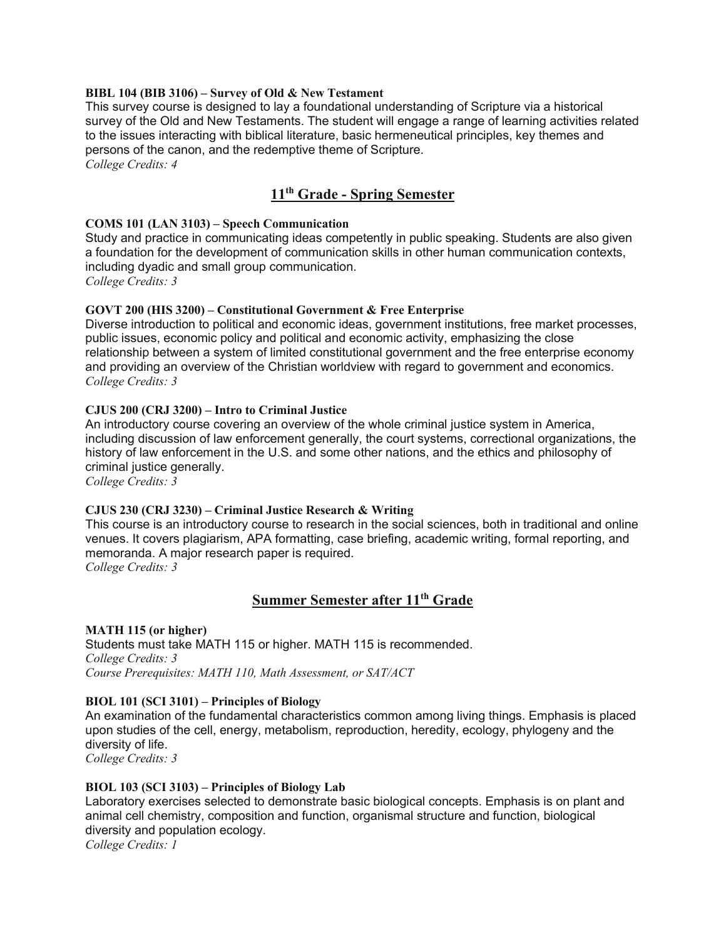#### **BIBL 104 (BIB 3106) – Survey of Old & New Testament**

This survey course is designed to lay a foundational understanding of Scripture via a historical survey of the Old and New Testaments. The student will engage a range of learning activities related to the issues interacting with biblical literature, basic hermeneutical principles, key themes and persons of the canon, and the redemptive theme of Scripture.

*College Credits: 4*

# **11th Grade - Spring Semester**

#### **COMS 101 (LAN 3103) – Speech Communication**

Study and practice in communicating ideas competently in public speaking. Students are also given a foundation for the development of communication skills in other human communication contexts, including dyadic and small group communication. *College Credits: 3*

#### **GOVT 200 (HIS 3200) – Constitutional Government & Free Enterprise**

Diverse introduction to political and economic ideas, government institutions, free market processes, public issues, economic policy and political and economic activity, emphasizing the close relationship between a system of limited constitutional government and the free enterprise economy and providing an overview of the Christian worldview with regard to government and economics. *College Credits: 3*

#### **CJUS 200 (CRJ 3200) – Intro to Criminal Justice**

An introductory course covering an overview of the whole criminal justice system in America, including discussion of law enforcement generally, the court systems, correctional organizations, the history of law enforcement in the U.S. and some other nations, and the ethics and philosophy of criminal justice generally.

*College Credits: 3*

#### **CJUS 230 (CRJ 3230) – Criminal Justice Research & Writing**

This course is an introductory course to research in the social sciences, both in traditional and online venues. It covers plagiarism, APA formatting, case briefing, academic writing, formal reporting, and memoranda. A major research paper is required. *College Credits: 3*

# **Summer Semester after 11th Grade**

#### **MATH 115 (or higher)** Students must take MATH 115 or higher. MATH 115 is recommended. *College Credits: 3 Course Prerequisites: MATH 110, Math Assessment, or SAT/ACT*

#### **BIOL 101 (SCI 3101) – Principles of Biology**

An examination of the fundamental characteristics common among living things. Emphasis is placed upon studies of the cell, energy, metabolism, reproduction, heredity, ecology, phylogeny and the diversity of life.

*College Credits: 3*

#### **BIOL 103 (SCI 3103) – Principles of Biology Lab**

Laboratory exercises selected to demonstrate basic biological concepts. Emphasis is on plant and animal cell chemistry, composition and function, organismal structure and function, biological diversity and population ecology.

*College Credits: 1*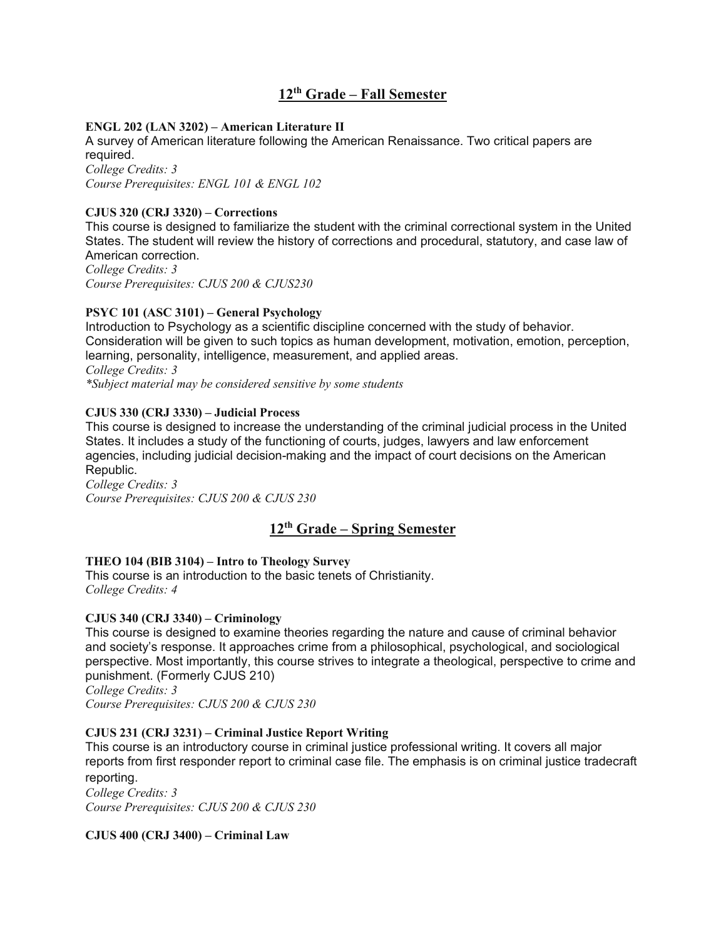# **12th Grade – Fall Semester**

## **ENGL 202 (LAN 3202) – American Literature II**

A survey of American literature following the American Renaissance. Two critical papers are required. *College Credits: 3 Course Prerequisites: ENGL 101 & ENGL 102*

### **CJUS 320 (CRJ 3320) – Corrections**

This course is designed to familiarize the student with the criminal correctional system in the United States. The student will review the history of corrections and procedural, statutory, and case law of American correction.

*College Credits: 3 Course Prerequisites: CJUS 200 & CJUS230*

## **PSYC 101 (ASC 3101) – General Psychology**

Introduction to Psychology as a scientific discipline concerned with the study of behavior. Consideration will be given to such topics as human development, motivation, emotion, perception, learning, personality, intelligence, measurement, and applied areas. *College Credits: 3 \*Subject material may be considered sensitive by some students*

#### **CJUS 330 (CRJ 3330) – Judicial Process**

This course is designed to increase the understanding of the criminal judicial process in the United States. It includes a study of the functioning of courts, judges, lawyers and law enforcement agencies, including judicial decision-making and the impact of court decisions on the American Republic.

*College Credits: 3 Course Prerequisites: CJUS 200 & CJUS 230*

# **12th Grade – Spring Semester**

#### **THEO 104 (BIB 3104) – Intro to Theology Survey**

This course is an introduction to the basic tenets of Christianity. *College Credits: 4*

#### **CJUS 340 (CRJ 3340) – Criminology**

This course is designed to examine theories regarding the nature and cause of criminal behavior and society's response. It approaches crime from a philosophical, psychological, and sociological perspective. Most importantly, this course strives to integrate a theological, perspective to crime and punishment. (Formerly CJUS 210)

*College Credits: 3 Course Prerequisites: CJUS 200 & CJUS 230*

# **CJUS 231 (CRJ 3231) – Criminal Justice Report Writing**

This course is an introductory course in criminal justice professional writing. It covers all major reports from first responder report to criminal case file. The emphasis is on criminal justice tradecraft reporting.

*College Credits: 3 Course Prerequisites: CJUS 200 & CJUS 230*

#### **CJUS 400 (CRJ 3400) – Criminal Law**